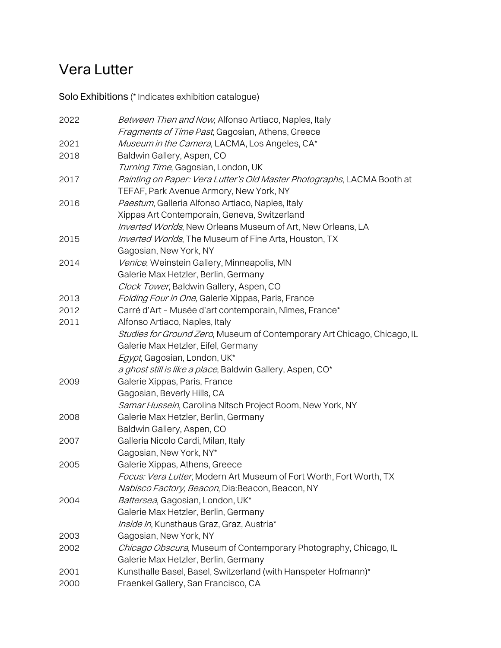# Vera Lutter

Solo Exhibitions (\* Indicates exhibition catalogue)

| 2022 | Between Then and Now, Alfonso Artiaco, Naples, Italy                     |
|------|--------------------------------------------------------------------------|
|      | Fragments of Time Past, Gagosian, Athens, Greece                         |
| 2021 | Museum in the Camera, LACMA, Los Angeles, CA*                            |
| 2018 | Baldwin Gallery, Aspen, CO                                               |
|      | Turning Time, Gagosian, London, UK                                       |
| 2017 | Painting on Paper: Vera Lutter's Old Master Photographs, LACMA Booth at  |
|      | TEFAF, Park Avenue Armory, New York, NY                                  |
| 2016 | Paestum, Galleria Alfonso Artiaco, Naples, Italy                         |
|      | Xippas Art Contemporain, Geneva, Switzerland                             |
|      | Inverted Worlds, New Orleans Museum of Art, New Orleans, LA              |
| 2015 | Inverted Worlds, The Museum of Fine Arts, Houston, TX                    |
|      | Gagosian, New York, NY                                                   |
| 2014 | Venice, Weinstein Gallery, Minneapolis, MN                               |
|      | Galerie Max Hetzler, Berlin, Germany                                     |
|      | Clock Tower, Baldwin Gallery, Aspen, CO                                  |
| 2013 | Folding Four in One, Galerie Xippas, Paris, France                       |
| 2012 | Carré d'Art - Musée d'art contemporain, Nîmes, France*                   |
| 2011 | Alfonso Artiaco, Naples, Italy                                           |
|      | Studies for Ground Zero, Museum of Contemporary Art Chicago, Chicago, IL |
|      | Galerie Max Hetzler, Eifel, Germany                                      |
|      | Egypt, Gagosian, London, UK*                                             |
|      | a ghost still is like a place, Baldwin Gallery, Aspen, CO*               |
| 2009 | Galerie Xippas, Paris, France                                            |
|      | Gagosian, Beverly Hills, CA                                              |
|      | Samar Hussein, Carolina Nitsch Project Room, New York, NY                |
| 2008 | Galerie Max Hetzler, Berlin, Germany                                     |
|      | Baldwin Gallery, Aspen, CO                                               |
| 2007 | Galleria Nicolo Cardi, Milan, Italy                                      |
|      | Gagosian, New York, NY*                                                  |
| 2005 | Galerie Xippas, Athens, Greece                                           |
|      | Focus: Vera Lutter, Modern Art Museum of Fort Worth, Fort Worth, TX      |
|      | Nabisco Factory, Beacon, Dia: Beacon, Beacon, NY                         |
| 2004 | Battersea, Gagosian, London, UK*                                         |
|      | Galerie Max Hetzler, Berlin, Germany                                     |
|      | Inside In, Kunsthaus Graz, Graz, Austria*                                |
| 2003 | Gagosian, New York, NY                                                   |
| 2002 | Chicago Obscura, Museum of Contemporary Photography, Chicago, IL         |
|      | Galerie Max Hetzler, Berlin, Germany                                     |
| 2001 | Kunsthalle Basel, Basel, Switzerland (with Hanspeter Hofmann)*           |
| 2000 | Fraenkel Gallery, San Francisco, CA                                      |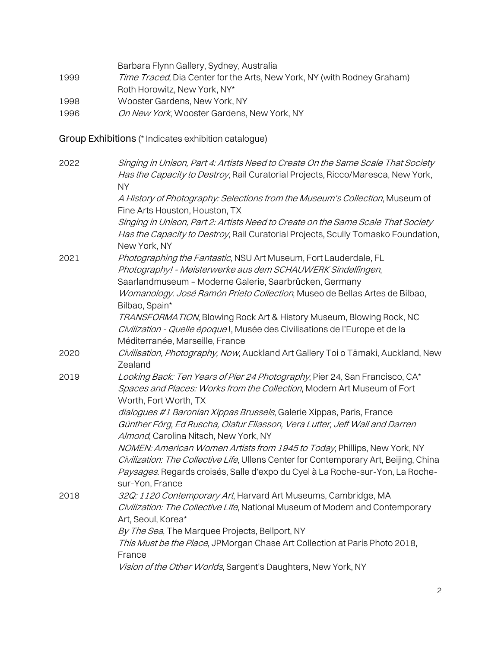Barbara Flynn Gallery, Sydney, Australia 1999 Time Traced, Dia Center for the Arts, New York, NY (with Rodney Graham) Roth Horowitz, New York, NY\* 1998 Wooster Gardens, New York, NY 1996 On New York, Wooster Gardens, New York, NY

Group Exhibitions (\* Indicates exhibition catalogue)

| 2022 | Singing in Unison, Part 4: Artists Need to Create On the Same Scale That Society<br>Has the Capacity to Destroy, Rail Curatorial Projects, Ricco/Maresca, New York,<br><b>NY</b>      |
|------|---------------------------------------------------------------------------------------------------------------------------------------------------------------------------------------|
|      | A History of Photography: Selections from the Museum's Collection, Museum of<br>Fine Arts Houston, Houston, TX                                                                        |
|      | Singing in Unison, Part 2: Artists Need to Create on the Same Scale That Society<br>Has the Capacity to Destroy, Rail Curatorial Projects, Scully Tomasko Foundation,<br>New York, NY |
| 2021 | Photographing the Fantastic, NSU Art Museum, Fort Lauderdale, FL                                                                                                                      |
|      | Photography! - Meisterwerke aus dem SCHAUWERK Sindelfingen,                                                                                                                           |
|      | Saarlandmuseum - Moderne Galerie, Saarbrücken, Germany                                                                                                                                |
|      | Womanology. José Ramón Prieto Collection, Museo de Bellas Artes de Bilbao,<br>Bilbao, Spain*                                                                                          |
|      | TRANSFORMATION, Blowing Rock Art & History Museum, Blowing Rock, NC                                                                                                                   |
|      | Civilization - Quelle époque!, Musée des Civilisations de l'Europe et de la<br>Méditerranée, Marseille, France                                                                        |
| 2020 | Civilisation, Photography, Now, Auckland Art Gallery Toi o Tāmaki, Auckland, New<br>Zealand                                                                                           |
| 2019 | Looking Back: Ten Years of Pier 24 Photography, Pier 24, San Francisco, CA*                                                                                                           |
|      | Spaces and Places: Works from the Collection, Modern Art Museum of Fort<br>Worth, Fort Worth, TX                                                                                      |
|      | dialogues #1 Baronian Xippas Brussels, Galerie Xippas, Paris, France                                                                                                                  |
|      | Günther Förg, Ed Ruscha, Olafur Eliasson, Vera Lutter, Jeff Wall and Darren<br>Almond, Carolina Nitsch, New York, NY                                                                  |
|      | NOMEN: American Women Artists from 1945 to Today, Phillips, New York, NY<br>Civilization: The Collective Life, Ullens Center for Contemporary Art, Beijing, China                     |
|      | Paysages. Regards croisés, Salle d'expo du Cyel à La Roche-sur-Yon, La Roche-<br>sur-Yon, France                                                                                      |
| 2018 | 32Q: 1120 Contemporary Art, Harvard Art Museums, Cambridge, MA                                                                                                                        |
|      | Civilization: The Collective Life, National Museum of Modern and Contemporary<br>Art, Seoul, Korea*                                                                                   |
|      | By The Sea, The Marquee Projects, Bellport, NY                                                                                                                                        |
|      | This Must be the Place, JPMorgan Chase Art Collection at Paris Photo 2018,<br>France                                                                                                  |
|      | Vision of the Other Worlds, Sargent's Daughters, New York, NY                                                                                                                         |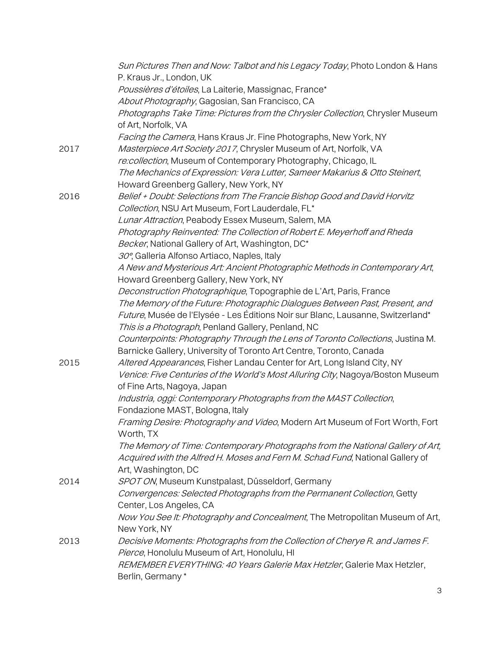|      | Sun Pictures Then and Now: Talbot and his Legacy Today, Photo London & Hans                          |
|------|------------------------------------------------------------------------------------------------------|
|      | P. Kraus Jr., London, UK                                                                             |
|      | Poussières d'étoiles, La Laiterie, Massignac, France*                                                |
|      | About Photography, Gagosian, San Francisco, CA                                                       |
|      | Photographs Take Time: Pictures from the Chrysler Collection, Chrysler Museum<br>of Art, Norfolk, VA |
|      | Facing the Camera, Hans Kraus Jr. Fine Photographs, New York, NY                                     |
| 2017 | Masterpiece Art Society 2017, Chrysler Museum of Art, Norfolk, VA                                    |
|      | re:collection, Museum of Contemporary Photography, Chicago, IL                                       |
|      | The Mechanics of Expression: Vera Lutter, Sameer Makarius & Otto Steinert,                           |
|      | Howard Greenberg Gallery, New York, NY                                                               |
| 2016 | Belief + Doubt: Selections from The Francie Bishop Good and David Horvitz                            |
|      | Collection, NSU Art Museum, Fort Lauderdale, FL*                                                     |
|      | Lunar Attraction, Peabody Essex Museum, Salem, MA                                                    |
|      | Photography Reinvented: The Collection of Robert E. Meyerhoff and Rheda                              |
|      | Becker, National Gallery of Art, Washington, DC*                                                     |
|      | 30°, Galleria Alfonso Artiaco, Naples, Italy                                                         |
|      | A New and Mysterious Art: Ancient Photographic Methods in Contemporary Art,                          |
|      | Howard Greenberg Gallery, New York, NY                                                               |
|      | Deconstruction Photographique, Topographie de L'Art, Paris, France                                   |
|      | The Memory of the Future: Photographic Dialogues Between Past, Present, and                          |
|      | Future, Musée de l'Elysée - Les Éditions Noir sur Blanc, Lausanne, Switzerland*                      |
|      | This is a Photograph, Penland Gallery, Penland, NC                                                   |
|      | Counterpoints: Photography Through the Lens of Toronto Collections, Justina M.                       |
|      | Barnicke Gallery, University of Toronto Art Centre, Toronto, Canada                                  |
| 2015 | Altered Appearances, Fisher Landau Center for Art, Long Island City, NY                              |
|      | Venice: Five Centuries of the World's Most Alluring City, Nagoya/Boston Museum                       |
|      | of Fine Arts, Nagoya, Japan                                                                          |
|      | Industria, oggi: Contemporary Photographs from the MAST Collection,                                  |
|      | Fondazione MAST, Bologna, Italy                                                                      |
|      | Framing Desire: Photography and Video, Modern Art Museum of Fort Worth, Fort                         |
|      | Worth, TX                                                                                            |
|      | The Memory of Time: Contemporary Photographs from the National Gallery of Art,                       |
|      | Acquired with the Alfred H. Moses and Fern M. Schad Fund, National Gallery of                        |
|      | Art, Washington, DC                                                                                  |
| 2014 | SPOT ON, Museum Kunstpalast, Düsseldorf, Germany                                                     |
|      | Convergences: Selected Photographs from the Permanent Collection, Getty                              |
|      | Center, Los Angeles, CA                                                                              |
|      | Now You See It: Photography and Concealment, The Metropolitan Museum of Art,                         |
|      | New York, NY                                                                                         |
| 2013 | Decisive Moments: Photographs from the Collection of Cherye R. and James F.                          |
|      | Pierce, Honolulu Museum of Art, Honolulu, HI                                                         |
|      | REMEMBER EVERYTHING: 40 Years Galerie Max Hetzler, Galerie Max Hetzler,                              |
|      | Berlin, Germany*                                                                                     |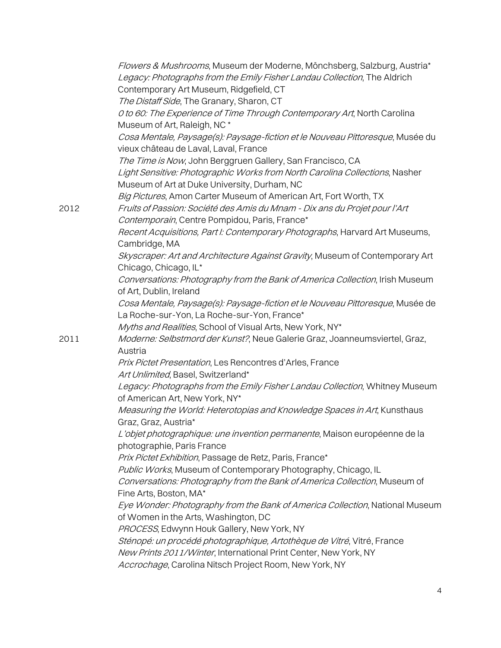|      | Flowers & Mushrooms, Museum der Moderne, Mönchsberg, Salzburg, Austria*<br>Legacy: Photographs from the Emily Fisher Landau Collection, The Aldrich |
|------|-----------------------------------------------------------------------------------------------------------------------------------------------------|
|      | Contemporary Art Museum, Ridgefield, CT                                                                                                             |
|      | The Distaff Side, The Granary, Sharon, CT                                                                                                           |
|      | O to 60: The Experience of Time Through Contemporary Art, North Carolina                                                                            |
|      | Museum of Art, Raleigh, NC*                                                                                                                         |
|      | Cosa Mentale, Paysage(s): Paysage-fiction et le Nouveau Pittoresque, Musée du                                                                       |
|      | vieux château de Laval, Laval, France                                                                                                               |
|      | The Time is Now, John Berggruen Gallery, San Francisco, CA                                                                                          |
|      | Light Sensitive: Photographic Works from North Carolina Collections, Nasher                                                                         |
|      | Museum of Art at Duke University, Durham, NC                                                                                                        |
|      | Big Pictures, Amon Carter Museum of American Art, Fort Worth, TX                                                                                    |
| 2012 | Fruits of Passion: Société des Amis du Mnam - Dix ans du Projet pour l'Art                                                                          |
|      | Contemporain, Centre Pompidou, Paris, France*                                                                                                       |
|      | Recent Acquisitions, Part I: Contemporary Photographs, Harvard Art Museums,                                                                         |
|      | Cambridge, MA                                                                                                                                       |
|      | Skyscraper: Art and Architecture Against Gravity, Museum of Contemporary Art<br>Chicago, Chicago, IL*                                               |
|      | Conversations: Photography from the Bank of America Collection, Irish Museum                                                                        |
|      | of Art, Dublin, Ireland                                                                                                                             |
|      | Cosa Mentale, Paysage(s): Paysage-fiction et le Nouveau Pittoresque, Musée de                                                                       |
|      | La Roche-sur-Yon, La Roche-sur-Yon, France*                                                                                                         |
|      | Myths and Realities, School of Visual Arts, New York, NY*                                                                                           |
| 2011 | Moderne: Selbstmord der Kunst?, Neue Galerie Graz, Joanneumsviertel, Graz,                                                                          |
|      | Austria                                                                                                                                             |
|      | Prix Pictet Presentation, Les Rencontres d'Arles, France                                                                                            |
|      | Art Unlimited, Basel, Switzerland*                                                                                                                  |
|      | Legacy: Photographs from the Emily Fisher Landau Collection, Whitney Museum                                                                         |
|      | of American Art, New York, NY*                                                                                                                      |
|      | Measuring the World: Heterotopias and Knowledge Spaces in Art, Kunsthaus                                                                            |
|      | Graz, Graz, Austria*                                                                                                                                |
|      | L'objet photographique: une invention permanente, Maison européenne de la                                                                           |
|      | photographie, Paris France                                                                                                                          |
|      | Prix Pictet Exhibition, Passage de Retz, Paris, France*                                                                                             |
|      | Public Works, Museum of Contemporary Photography, Chicago, IL                                                                                       |
|      | Conversations: Photography from the Bank of America Collection, Museum of                                                                           |
|      | Fine Arts, Boston, MA*                                                                                                                              |
|      | Eye Wonder: Photography from the Bank of America Collection, National Museum                                                                        |
|      | of Women in the Arts, Washington, DC                                                                                                                |
|      | PROCESS, Edwynn Houk Gallery, New York, NY                                                                                                          |
|      | Sténopé: un procédé photographique, Artothèque de Vitré, Vitré, France                                                                              |
|      | New Prints 2011/Winter, International Print Center, New York, NY                                                                                    |
|      | Accrochage, Carolina Nitsch Project Room, New York, NY                                                                                              |
|      |                                                                                                                                                     |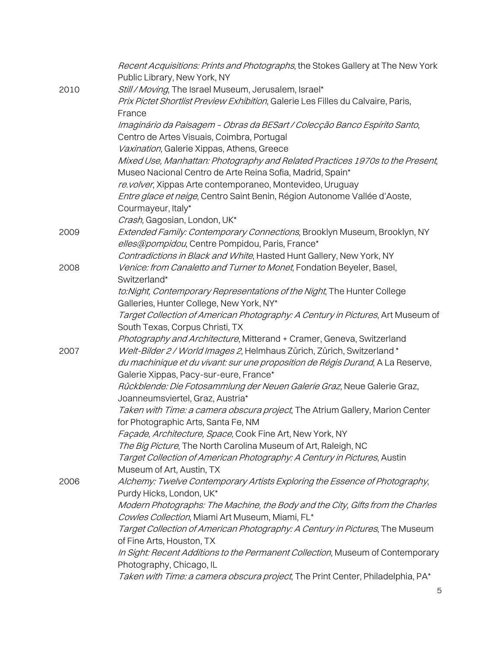|      | Recent Acquisitions: Prints and Photographs, the Stokes Gallery at The New York<br>Public Library, New York, NY                   |
|------|-----------------------------------------------------------------------------------------------------------------------------------|
| 2010 | Still / Moving, The Israel Museum, Jerusalem, Israel*                                                                             |
|      | Prix Pictet Shortlist Preview Exhibition, Galerie Les Filles du Calvaire, Paris,                                                  |
|      | France<br>Imaginário da Paisagem - Obras da BESart / Colecção Banco Espírito Santo,                                               |
|      | Centro de Artes Visuais, Coimbra, Portugal                                                                                        |
|      | Vaxination, Galerie Xippas, Athens, Greece                                                                                        |
|      | Mixed Use, Manhattan: Photography and Related Practices 1970s to the Present,                                                     |
|      | Museo Nacional Centro de Arte Reina Sofia, Madrid, Spain*                                                                         |
|      | re.volver, Xippas Arte contemporaneo, Montevideo, Uruguay                                                                         |
|      | Entre glace et neige, Centro Saint Benin, Région Autonome Vallée d'Aoste,                                                         |
|      | Courmayeur, Italy*                                                                                                                |
|      | Crash, Gagosian, London, UK*                                                                                                      |
| 2009 | Extended Family: Contemporary Connections, Brooklyn Museum, Brooklyn, NY<br>elles@pompidou, Centre Pompidou, Paris, France*       |
|      | Contradictions in Black and White, Hasted Hunt Gallery, New York, NY                                                              |
| 2008 | Venice: from Canaletto and Turner to Monet, Fondation Beyeler, Basel,                                                             |
|      | Switzerland*                                                                                                                      |
|      | to: Night, Contemporary Representations of the Night, The Hunter College                                                          |
|      | Galleries, Hunter College, New York, NY*                                                                                          |
|      | Target Collection of American Photography: A Century in Pictures, Art Museum of                                                   |
|      | South Texas, Corpus Christi, TX                                                                                                   |
|      | Photography and Architecture, Mitterand + Cramer, Geneva, Switzerland                                                             |
| 2007 | Welt-Bilder 2 / World Images 2, Helmhaus Zürich, Zürich, Switzerland*                                                             |
|      | du machinique et du vivant: sur une proposition de Régis Durand, A La Reserve,                                                    |
|      | Galerie Xippas, Pacy-sur-eure, France*                                                                                            |
|      | Rückblende: Die Fotosammlung der Neuen Galerie Graz, Neue Galerie Graz,                                                           |
|      | Joanneumsviertel, Graz, Austria*                                                                                                  |
|      | Taken with Time: a camera obscura project, The Atrium Gallery, Marion Center                                                      |
|      | for Photographic Arts, Santa Fe, NM                                                                                               |
|      | Façade, Architecture, Space, Cook Fine Art, New York, NY                                                                          |
|      | The Big Picture, The North Carolina Museum of Art, Raleigh, NC                                                                    |
|      | Target Collection of American Photography: A Century in Pictures, Austin                                                          |
|      | Museum of Art, Austin, TX                                                                                                         |
| 2006 | Alchemy: Twelve Contemporary Artists Exploring the Essence of Photography,                                                        |
|      | Purdy Hicks, London, UK*                                                                                                          |
|      | Modern Photographs: The Machine, the Body and the City, Gifts from the Charles<br>Cowles Collection, Miami Art Museum, Miami, FL* |
|      | Target Collection of American Photography: A Century in Pictures, The Museum                                                      |
|      | of Fine Arts, Houston, TX                                                                                                         |
|      | In Sight: Recent Additions to the Permanent Collection, Museum of Contemporary                                                    |
|      | Photography, Chicago, IL                                                                                                          |
|      | Taken with Time: a camera obscura project, The Print Center, Philadelphia, PA*                                                    |
|      |                                                                                                                                   |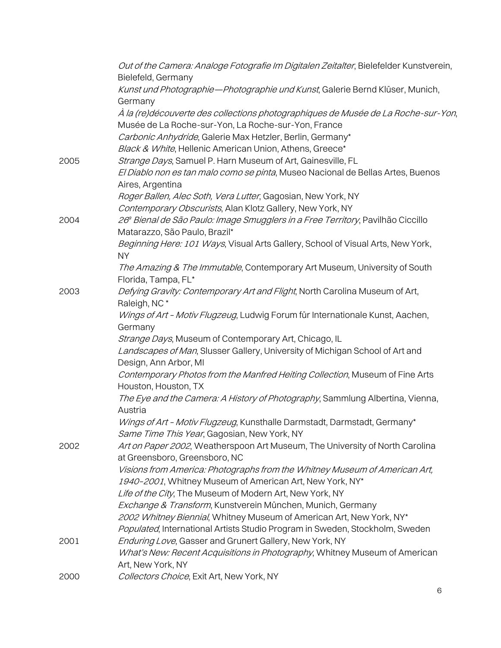|      | Out of the Camera: Analoge Fotografie Im Digitalen Zeitalter, Bielefelder Kunstverein,<br>Bielefeld, Germany                             |
|------|------------------------------------------------------------------------------------------------------------------------------------------|
|      | Kunst und Photographie-Photographie und Kunst, Galerie Bernd Klüser, Munich,                                                             |
|      | Germany                                                                                                                                  |
|      | À la (re)découverte des collections photographiques de Musée de La Roche-sur-Yon,<br>Musée de La Roche-sur-Yon, La Roche-sur-Yon, France |
|      | Carbonic Anhydride, Galerie Max Hetzler, Berlin, Germany*                                                                                |
|      | Black & White, Hellenic American Union, Athens, Greece*                                                                                  |
|      | Strange Days, Samuel P. Harn Museum of Art, Gainesville, FL                                                                              |
| 2005 | El Diablo non es tan malo como se pinta, Museo Nacional de Bellas Artes, Buenos<br>Aires, Argentina                                      |
|      | Roger Ballen, Alec Soth, Vera Lutter, Gagosian, New York, NY                                                                             |
|      | Contemporary Obscurists, Alan Klotz Gallery, New York, NY                                                                                |
| 2004 | 26ª Bienal de São Paulo: Image Smugglers in a Free Territory, Pavilhão Ciccillo                                                          |
|      | Matarazzo, São Paulo, Brazil*                                                                                                            |
|      | Beginning Here: 101 Ways, Visual Arts Gallery, School of Visual Arts, New York,<br><b>NY</b>                                             |
|      | The Amazing & The Immutable, Contemporary Art Museum, University of South<br>Florida, Tampa, FL*                                         |
| 2003 | Defying Gravity: Contemporary Art and Flight, North Carolina Museum of Art,<br>Raleigh, NC*                                              |
|      | Wings of Art - Motiv Flugzeug, Ludwig Forum für Internationale Kunst, Aachen,<br>Germany                                                 |
|      | Strange Days, Museum of Contemporary Art, Chicago, IL                                                                                    |
|      | Landscapes of Man, Slusser Gallery, University of Michigan School of Art and<br>Design, Ann Arbor, MI                                    |
|      | Contemporary Photos from the Manfred Heiting Collection, Museum of Fine Arts<br>Houston, Houston, TX                                     |
|      | The Eye and the Camera: A History of Photography, Sammlung Albertina, Vienna,<br>Austria                                                 |
|      | Wings of Art - Motiv Flugzeug, Kunsthalle Darmstadt, Darmstadt, Germany*<br>Same Time This Year, Gagosian, New York, NY                  |
| 2002 | Art on Paper 2002, Weatherspoon Art Museum, The University of North Carolina<br>at Greensboro, Greensboro, NC                            |
|      | Visions from America: Photographs from the Whitney Museum of American Art,                                                               |
|      | 1940-2001, Whitney Museum of American Art, New York, NY*                                                                                 |
|      | Life of the City, The Museum of Modern Art, New York, NY                                                                                 |
|      | Exchange & Transform, Kunstverein München, Munich, Germany                                                                               |
|      | 2002 Whitney Biennial, Whitney Museum of American Art, New York, NY*                                                                     |
|      | Populated, International Artists Studio Program in Sweden, Stockholm, Sweden                                                             |
| 2001 | Enduring Love, Gasser and Grunert Gallery, New York, NY                                                                                  |
|      | What's New: Recent Acquisitions in Photography, Whitney Museum of American<br>Art, New York, NY                                          |
| 2000 | Collectors Choice, Exit Art, New York, NY                                                                                                |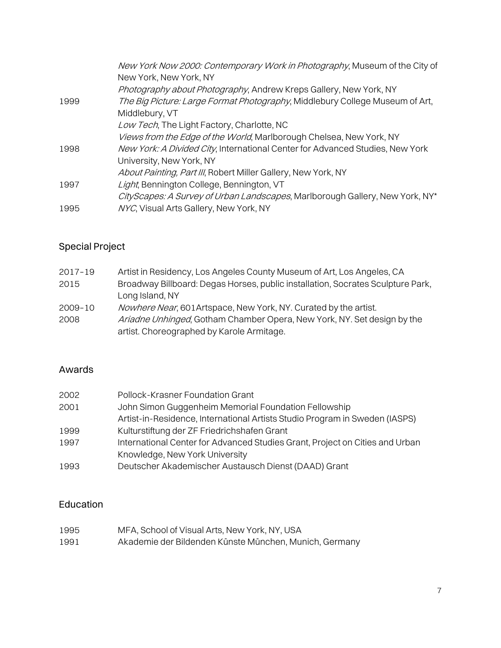| New York Now 2000: Contemporary Work in Photography, Museum of the City of<br>New York, New York, NY |
|------------------------------------------------------------------------------------------------------|
| Photography about Photography, Andrew Kreps Gallery, New York, NY                                    |
| The Big Picture: Large Format Photography, Middlebury College Museum of Art,                         |
| Middlebury, VT                                                                                       |
| Low Tech, The Light Factory, Charlotte, NC                                                           |
| Views from the Edge of the World, Marlborough Chelsea, New York, NY                                  |
| New York: A Divided City, International Center for Advanced Studies, New York                        |
| University, New York, NY                                                                             |
| About Painting, Part III, Robert Miller Gallery, New York, NY                                        |
| Light, Bennington College, Bennington, VT                                                            |
| City Scapes: A Survey of Urban Landscapes, Marlborough Gallery, New York, NY*                        |
| NYC, Visual Arts Gallery, New York, NY                                                               |
|                                                                                                      |

## Special Project

| 2017-19 | Artist in Residency, Los Angeles County Museum of Art, Los Angeles, CA          |
|---------|---------------------------------------------------------------------------------|
| 2015    | Broadway Billboard: Degas Horses, public installation, Socrates Sculpture Park, |
|         | Long Island, NY                                                                 |
| 2009-10 | Nowhere Near, 601 Artspace, New York, NY. Curated by the artist.                |
| 2008    | Ariadne Unhinged, Gotham Chamber Opera, New York, NY. Set design by the         |
|         | artist. Choreographed by Karole Armitage.                                       |

#### Awards

| 2002 | Pollock-Krasner Foundation Grant                                             |
|------|------------------------------------------------------------------------------|
| 2001 | John Simon Guggenheim Memorial Foundation Fellowship                         |
|      | Artist-in-Residence, International Artists Studio Program in Sweden (IASPS)  |
| 1999 | Kulturstiftung der ZF Friedrichshafen Grant                                  |
| 1997 | International Center for Advanced Studies Grant, Project on Cities and Urban |
|      | Knowledge, New York University                                               |
| 1993 | Deutscher Akademischer Austausch Dienst (DAAD) Grant                         |

### Education

| 1995 | MFA, School of Visual Arts, New York, NY, USA          |
|------|--------------------------------------------------------|
| 1991 | Akademie der Bildenden Künste München, Munich, Germany |